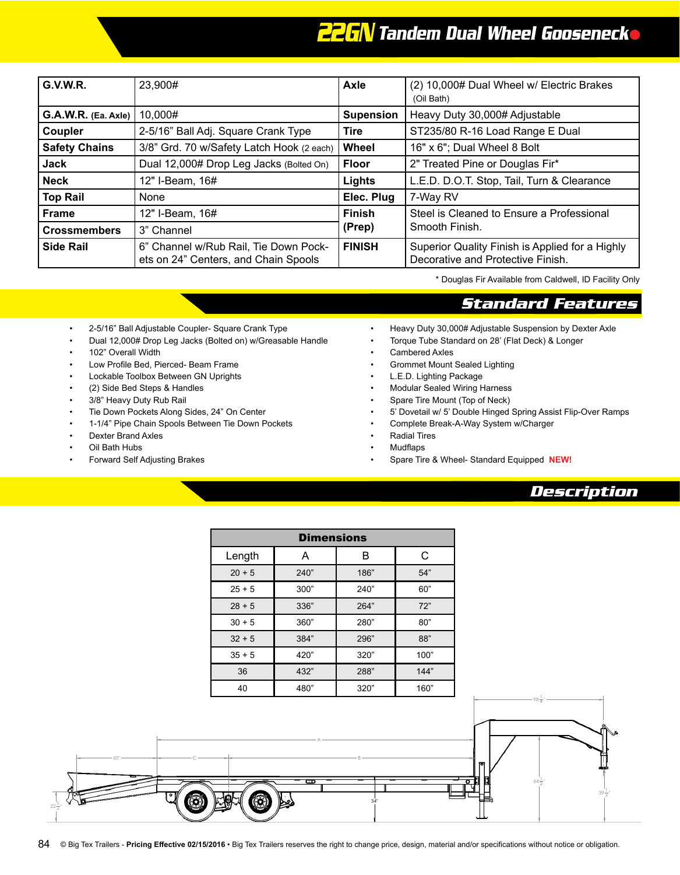## *22GN Tandem Dual Wheel Gooseneck*

| <b>G.V.W.R.</b>      | 23,900#                                                                       | Axle             | (2) 10,000# Dual Wheel w/ Electric Brakes<br>(Oil Bath)                              |
|----------------------|-------------------------------------------------------------------------------|------------------|--------------------------------------------------------------------------------------|
| G.A.W.R. (Ea. Axle)  | 10,000#                                                                       | <b>Supension</b> | Heavy Duty 30,000# Adjustable                                                        |
| Coupler              | 2-5/16" Ball Adj. Square Crank Type                                           | <b>Tire</b>      | ST235/80 R-16 Load Range E Dual                                                      |
| <b>Safety Chains</b> | 3/8" Grd. 70 w/Safety Latch Hook (2 each)                                     | Wheel            | 16" x 6"; Dual Wheel 8 Bolt                                                          |
| Jack                 | Dual 12,000# Drop Leg Jacks (Bolted On)                                       | <b>Floor</b>     | 2" Treated Pine or Douglas Fir*                                                      |
| <b>Neck</b>          | 12" I-Beam, 16#                                                               | Lights           | L.E.D. D.O.T. Stop, Tail, Turn & Clearance                                           |
| <b>Top Rail</b>      | None                                                                          | Elec. Plug       | 7-Way RV                                                                             |
| <b>Frame</b>         | 12" I-Beam, 16#                                                               | <b>Finish</b>    | Steel is Cleaned to Ensure a Professional                                            |
| <b>Crossmembers</b>  | 3" Channel                                                                    | (Prep)           | Smooth Finish.                                                                       |
| <b>Side Rail</b>     | 6" Channel w/Rub Rail, Tie Down Pock-<br>ets on 24" Centers, and Chain Spools | <b>FINISH</b>    | Superior Quality Finish is Applied for a Highly<br>Decorative and Protective Finish. |

\* Douglas Fir Available from Caldwell, ID Facility Only

#### *Standard Features*

- 2-5/16" Ball Adjustable Coupler- Square Crank Type
- Dual 12,000# Drop Leg Jacks (Bolted on) w/Greasable Handle
- 102" Overall Width
- Low Profile Bed, Pierced- Beam Frame
- Lockable Toolbox Between GN Uprights
- (2) Side Bed Steps & Handles
- 3/8" Heavy Duty Rub Rail
- Tie Down Pockets Along Sides, 24" On Center
- 1-1/4" Pipe Chain Spools Between Tie Down Pockets • Complete Break-A-Way System w/Charger
- Dexter Brand Axles
- Oil Bath Hubs
- Forward Self Adjusting Brakes
- Heavy Duty 30,000# Adjustable Suspension by Dexter Axle
- Torque Tube Standard on 28' (Flat Deck) & Longer
- Cambered Axles
- Grommet Mount Sealed Lighting
- L.E.D. Lighting Package
- Modular Sealed Wiring Harness
- Spare Tire Mount (Top of Neck)
- 5' Dovetail w/ 5' Double Hinged Spring Assist Flip-Over Ramps
- Complete Break-A-Way System w/Charger
- Radial Tires
- **Mudflaps**
- **Spare Tire & Wheel- Standard Equipped NEW!** 20+5 240" 186" 54"

#### *Description*

30+5 360" 280" 80"

| <b>Dimensions</b> |      |      |      |  |  |
|-------------------|------|------|------|--|--|
| Length            | A    | B    | C    |  |  |
| $20 + 5$          | 240" | 186" | 54"  |  |  |
| $25 + 5$          | 300" | 240" | 60"  |  |  |
| $28 + 5$          | 336" | 264" | 72"  |  |  |
| $30 + 5$          | 360" | 280" | 80"  |  |  |
| $32 + 5$          | 384" | 296" | 88"  |  |  |
| $35 + 5$          | 420" | 320" | 100" |  |  |
| 36                | 432" | 288" | 144" |  |  |
| 40                | 480" | 320" | 160" |  |  |